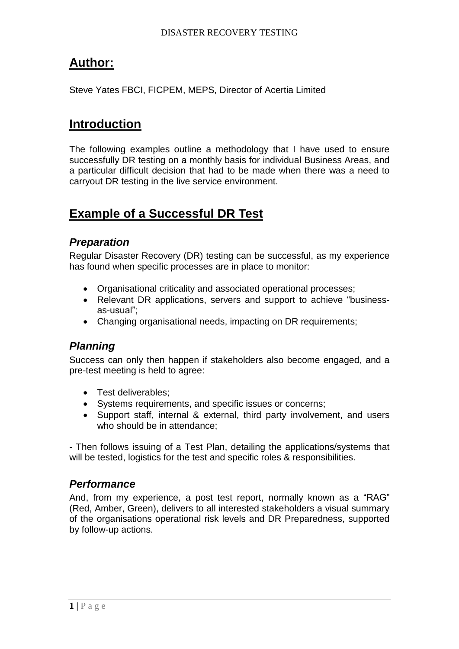# **Author:**

Steve Yates FBCI, FICPEM, MEPS, Director of Acertia Limited

## **Introduction**

The following examples outline a methodology that I have used to ensure successfully DR testing on a monthly basis for individual Business Areas, and a particular difficult decision that had to be made when there was a need to carryout DR testing in the live service environment.

# **Example of a Successful DR Test**

### *Preparation*

Regular Disaster Recovery (DR) testing can be successful, as my experience has found when specific processes are in place to monitor:

- Organisational criticality and associated operational processes;
- Relevant DR applications, servers and support to achieve "businessas-usual";
- Changing organisational needs, impacting on DR requirements;

### *Planning*

Success can only then happen if stakeholders also become engaged, and a pre-test meeting is held to agree:

- Test deliverables:
- Systems requirements, and specific issues or concerns;
- Support staff, internal & external, third party involvement, and users who should be in attendance;

- Then follows issuing of a Test Plan, detailing the applications/systems that will be tested, logistics for the test and specific roles & responsibilities.

### *Performance*

And, from my experience, a post test report, normally known as a "RAG" (Red, Amber, Green), delivers to all interested stakeholders a visual summary of the organisations operational risk levels and DR Preparedness, supported by follow-up actions.